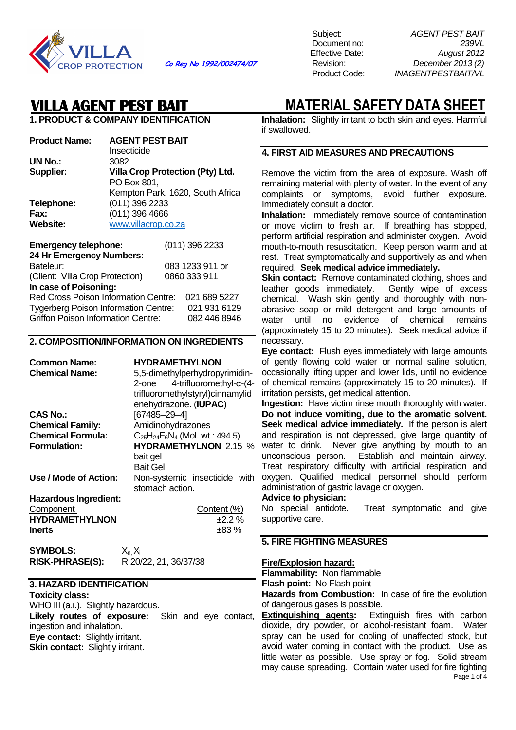

Subject: AGENT PEST BAIT Document no: 239VL Effective Date: August 2012 **Co Reg No 1992/002474/07** Revision: December 2013 (2) **INAGENTPESTBAIT/VL** 

## **VILLA AGENT PEST BAIT MATERIAL SAFETY DATA SHEET**

**1. PRODUCT & COMPANY IDENTIFICATION Product Name: AGENT PEST BAIT**  Insecticide **UN No.:** 3082 **Supplier: Villa Crop Protection (Pty) Ltd.**  PO Box 801, Kempton Park, 1620, South Africa **Telephone:** (011) 396 2233 **Fax:** (011) 396 4666 **Website:** www.villacrop.co.za **Emergency telephone:** (011) 396 2233 **24 Hr Emergency Numbers:**  Bateleur: 083 1233 911 or<br>
(Client: Villa Crop Protection) 0860 333 911 (Client: Villa Crop Protection) **In case of Poisoning:**  Red Cross Poison Information Centre: 021 689 5227 Tygerberg Poison Information Centre: 021 931 6129 Griffon Poison Information Centre: 082 446 8946 **2. COMPOSITION/INFORMATION ON INGREDIENTS Common Name: HYDRAMETHYLNON Chemical Name:** 5,5-dimethylperhydropyrimidin-2-one 4-trifluoromethyl-α-(4 trifluoromethylstyryl)cinnamylid enehydrazone. (**IUPAC**) **CAS No.:** [67485–29–4] **Chemical Family:** Amidinohydrazones **Chemical Formula:**  $C_{25}H_{24}F_6N_4$  (Mol. wt.: 494.5)<br> **Formulation:** HYDRAMFTHYI NON 215 **HYDRAMETHYLNON** 2.15 % bait gel Bait Gel **Use / Mode of Action:** Non-systemic insecticide with stomach action. **Hazardous Ingredient:** Component Content (%) **HYDRAMETHYLNON** ±2.2 % **Inerts** ±83 % **SYMBOLS:**  $X_n X_i$ **RISK-PHRASE(S):** R 20/22, 21, 36/37/38 **3. HAZARD IDENTIFICATION Toxicity class:**  WHO III (a.i.). Slightly hazardous. **Likely routes of exposure:** Skin and eye contact, ingestion and inhalation. **Eye contact:** Slightly irritant. **Skin contact: Slightly irritant. Inhalation:** Slightly irritant to both skin and eyes. Harmful if swallowed. **4. FIRST AID MEASURES AND PRECAUTIONS**  Remove the victim from the area of exposure. Wash off remaining material with plenty of water. In the event of any complaints or symptoms, avoid further exposure. Immediately consult a doctor. **Inhalation:** Immediately remove source of contamination or move victim to fresh air. If breathing has stopped, perform artificial respiration and administer oxygen. Avoid mouth-to-mouth resuscitation. Keep person warm and at rest. Treat symptomatically and supportively as and when required. **Seek medical advice immediately. Skin contact:** Remove contaminated clothing, shoes and leather goods immediately. Gently wipe of excess chemical. Wash skin gently and thoroughly with nonabrasive soap or mild detergent and large amounts of water until no evidence of chemical remains (approximately 15 to 20 minutes). Seek medical advice if necessary. **Eye contact:** Flush eyes immediately with large amounts of gently flowing cold water or normal saline solution, occasionally lifting upper and lower lids, until no evidence of chemical remains (approximately 15 to 20 minutes). If irritation persists, get medical attention. **Ingestion:** Have victim rinse mouth thoroughly with water. **Do not induce vomiting, due to the aromatic solvent. Seek medical advice immediately.** If the person is alert and respiration is not depressed, give large quantity of water to drink. Never give anything by mouth to an unconscious person. Establish and maintain airway. Treat respiratory difficulty with artificial respiration and oxygen. Qualified medical personnel should perform administration of gastric lavage or oxygen. **Advice to physician:**  No special antidote. Treat symptomatic and give supportive care. **5. FIRE FIGHTING MEASURES Fire/Explosion hazard: Flammability:** Non flammable **Flash point:** No Flash point **Hazards from Combustion:** In case of fire the evolution of dangerous gases is possible. **Extinguishing agents:** Extinguish fires with carbon dioxide, dry powder, or alcohol-resistant foam. Water spray can be used for cooling of unaffected stock, but avoid water coming in contact with the product. Use as little water as possible. Use spray or fog. Solid stream may cause spreading. Contain water used for fire fighting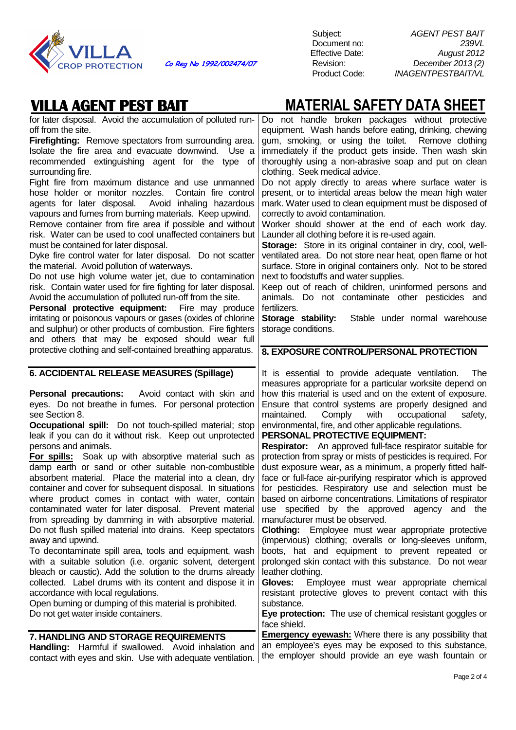

### **VILLA AGENT PEST BAIT MATERIAL SAFETY DATA SHEET**

| for later disposal. Avoid the accumulation of polluted run-<br>off from the site.                                | Do not handle broken packages without protective<br>equipment. Wash hands before eating, drinking, chewing     |
|------------------------------------------------------------------------------------------------------------------|----------------------------------------------------------------------------------------------------------------|
| Firefighting: Remove spectators from surrounding area.                                                           | gum, smoking, or using the toilet. Remove clothing                                                             |
| Isolate the fire area and evacuate downwind. Use a                                                               | immediately if the product gets inside. Then wash skin                                                         |
| recommended extinguishing agent for the type of                                                                  | thoroughly using a non-abrasive soap and put on clean                                                          |
| surrounding fire.                                                                                                | clothing. Seek medical advice.                                                                                 |
| Fight fire from maximum distance and use unmanned                                                                | Do not apply directly to areas where surface water is                                                          |
| hose holder or monitor nozzles.<br>Contain fire control                                                          | present, or to intertidal areas below the mean high water                                                      |
| agents for later disposal. Avoid inhaling hazardous                                                              | mark. Water used to clean equipment must be disposed of                                                        |
| vapours and fumes from burning materials. Keep upwind.                                                           | correctly to avoid contamination.                                                                              |
| Remove container from fire area if possible and without                                                          | Worker should shower at the end of each work day.                                                              |
| risk. Water can be used to cool unaffected containers but                                                        | Launder all clothing before it is re-used again.                                                               |
| must be contained for later disposal.                                                                            | <b>Storage:</b> Store in its original container in dry, cool, well-                                            |
| Dyke fire control water for later disposal. Do not scatter                                                       | ventilated area. Do not store near heat, open flame or hot                                                     |
| the material. Avoid pollution of waterways.                                                                      | surface. Store in original containers only. Not to be stored                                                   |
| Do not use high volume water jet, due to contamination                                                           | next to foodstuffs and water supplies.                                                                         |
| risk. Contain water used for fire fighting for later disposal.                                                   | Keep out of reach of children, uninformed persons and                                                          |
| Avoid the accumulation of polluted run-off from the site.                                                        | animals. Do not contaminate other pesticides and                                                               |
| Personal protective equipment:<br>Fire may produce                                                               | fertilizers.                                                                                                   |
| irritating or poisonous vapours or gases (oxides of chlorine                                                     | Storage stability:<br>Stable under normal warehouse                                                            |
| and sulphur) or other products of combustion. Fire fighters                                                      | storage conditions.                                                                                            |
| and others that may be exposed should wear full                                                                  |                                                                                                                |
| protective clothing and self-contained breathing apparatus.                                                      | 8. EXPOSURE CONTROL/PERSONAL PROTECTION                                                                        |
| 6. ACCIDENTAL RELEASE MEASURES (Spillage)                                                                        | It is essential to provide adequate ventilation.<br>The                                                        |
|                                                                                                                  | measures appropriate for a particular worksite depend on                                                       |
|                                                                                                                  |                                                                                                                |
|                                                                                                                  |                                                                                                                |
| <b>Personal precautions:</b> Avoid contact with skin and                                                         | how this material is used and on the extent of exposure.                                                       |
| eyes. Do not breathe in fumes. For personal protection                                                           | Ensure that control systems are properly designed and                                                          |
| see Section 8.                                                                                                   | Comply<br>with<br>occupational<br>maintained.<br>safety,                                                       |
| Occupational spill: Do not touch-spilled material; stop                                                          | environmental, fire, and other applicable regulations.                                                         |
| leak if you can do it without risk. Keep out unprotected                                                         | PERSONAL PROTECTIVE EQUIPMENT:                                                                                 |
| persons and animals.                                                                                             | <b>Respirator:</b> An approved full-face respirator suitable for                                               |
| <b>For spills:</b> Soak up with absorptive material such as                                                      | protection from spray or mists of pesticides is required. For                                                  |
| damp earth or sand or other suitable non-combustible<br>absorbent material. Place the material into a clean, dry | dust exposure wear, as a minimum, a properly fitted half-                                                      |
| container and cover for subsequent disposal. In situations                                                       | face or full-face air-purifying respirator which is approved                                                   |
|                                                                                                                  | for pesticides. Respiratory use and selection must be                                                          |
| where product comes in contact with water, contain<br>contaminated water for later disposal. Prevent material    | based on airborne concentrations. Limitations of respirator<br>use specified by the approved agency and<br>the |
| from spreading by damming in with absorptive material.                                                           | manufacturer must be observed.                                                                                 |
| Do not flush spilled material into drains. Keep spectators                                                       | Clothing: Employee must wear appropriate protective                                                            |
| away and upwind.                                                                                                 | (impervious) clothing; overalls or long-sleeves uniform,                                                       |
| To decontaminate spill area, tools and equipment, wash                                                           | boots, hat and equipment to prevent repeated or                                                                |
| with a suitable solution (i.e. organic solvent, detergent                                                        | prolonged skin contact with this substance. Do not wear                                                        |
| bleach or caustic). Add the solution to the drums already                                                        | leather clothing.                                                                                              |
| collected. Label drums with its content and dispose it in                                                        | Gloves:<br>Employee must wear appropriate chemical                                                             |
| accordance with local regulations.                                                                               | resistant protective gloves to prevent contact with this                                                       |
| Open burning or dumping of this material is prohibited.                                                          | substance.                                                                                                     |
| Do not get water inside containers.                                                                              | Eye protection: The use of chemical resistant goggles or                                                       |
|                                                                                                                  | face shield.                                                                                                   |
| 7. HANDLING AND STORAGE REQUIREMENTS                                                                             | <b>Emergency eyewash:</b> Where there is any possibility that                                                  |
| Handling: Harmful if swallowed. Avoid inhalation and                                                             | an employee's eyes may be exposed to this substance,<br>the employer should provide an eye wash fountain or    |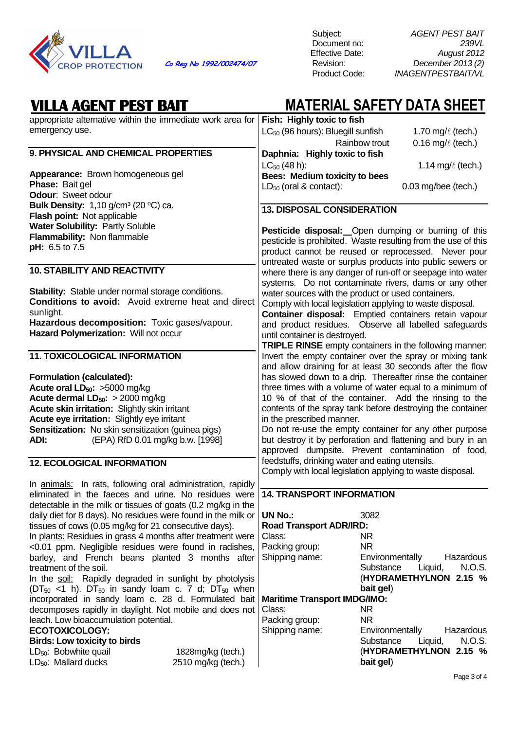

| <b>VILLA AGENT PEST BAIT</b>                                                                              |                                                              | <b>MATERIAL SAFETY DATA SHEET</b>                                                                                   |
|-----------------------------------------------------------------------------------------------------------|--------------------------------------------------------------|---------------------------------------------------------------------------------------------------------------------|
| appropriate alternative within the immediate work area for                                                | Fish: Highly toxic to fish                                   |                                                                                                                     |
| emergency use.                                                                                            | LC <sub>50</sub> (96 hours): Bluegill sunfish                | 1.70 mg/ $\ell$ (tech.)                                                                                             |
|                                                                                                           |                                                              | Rainbow trout<br>0.16 mg/ $\ell$ (tech.)                                                                            |
| 9. PHYSICAL AND CHEMICAL PROPERTIES                                                                       | Daphnia: Highly toxic to fish                                |                                                                                                                     |
| Appearance: Brown homogeneous gel                                                                         | $LC_{50}$ (48 h):                                            | 1.14 mg/ $\ell$ (tech.)                                                                                             |
| Phase: Bait gel                                                                                           | Bees: Medium toxicity to bees<br>$LD_{50}$ (oral & contact): | $0.03$ mg/bee (tech.)                                                                                               |
| Odour: Sweet odour                                                                                        |                                                              |                                                                                                                     |
| <b>Bulk Density:</b> 1,10 g/cm <sup>3</sup> (20 $^{\circ}$ C) ca.                                         |                                                              |                                                                                                                     |
| Flash point: Not applicable                                                                               | <b>13. DISPOSAL CONSIDERATION</b>                            |                                                                                                                     |
| Water Solubility: Partly Soluble                                                                          |                                                              |                                                                                                                     |
| Flammability: Non flammable                                                                               |                                                              | Pesticide disposal: Open dumping or burning of this                                                                 |
| pH: 6.5 to 7.5                                                                                            |                                                              | pesticide is prohibited. Waste resulting from the use of this                                                       |
|                                                                                                           |                                                              | product cannot be reused or reprocessed. Never pour                                                                 |
| <b>10. STABILITY AND REACTIVITY</b>                                                                       |                                                              | untreated waste or surplus products into public sewers or                                                           |
|                                                                                                           |                                                              | where there is any danger of run-off or seepage into water<br>systems. Do not contaminate rivers, dams or any other |
| <b>Stability:</b> Stable under normal storage conditions.                                                 | water sources with the product or used containers.           |                                                                                                                     |
| <b>Conditions to avoid:</b> Avoid extreme heat and direct                                                 |                                                              | Comply with local legislation applying to waste disposal.                                                           |
| sunlight.                                                                                                 |                                                              | Container disposal: Emptied containers retain vapour                                                                |
| Hazardous decomposition: Toxic gases/vapour.                                                              |                                                              | and product residues. Observe all labelled safeguards                                                               |
| Hazard Polymerization: Will not occur                                                                     | until container is destroyed.                                |                                                                                                                     |
|                                                                                                           |                                                              | TRIPLE RINSE empty containers in the following manner:                                                              |
| <b>11. TOXICOLOGICAL INFORMATION</b>                                                                      |                                                              | Invert the empty container over the spray or mixing tank                                                            |
|                                                                                                           |                                                              | and allow draining for at least 30 seconds after the flow                                                           |
| Formulation (calculated):                                                                                 |                                                              | has slowed down to a drip. Thereafter rinse the container                                                           |
| Acute oral LD <sub>50</sub> : >5000 mg/kg                                                                 |                                                              | three times with a volume of water equal to a minimum of                                                            |
| Acute dermal $LD_{50}$ : > 2000 mg/kg                                                                     |                                                              | 10 % of that of the container. Add the rinsing to the                                                               |
| Acute skin irritation: Slightly skin irritant                                                             |                                                              | contents of the spray tank before destroying the container                                                          |
| Acute eye irritation: Slightly eye irritant                                                               | in the prescribed manner.                                    |                                                                                                                     |
| Sensitization: No skin sensitization (guinea pigs)                                                        |                                                              | Do not re-use the empty container for any other purpose                                                             |
| ADI:<br>(EPA) RfD 0.01 mg/kg b.w. [1998]                                                                  |                                                              | but destroy it by perforation and flattening and bury in an                                                         |
|                                                                                                           |                                                              | approved dumpsite. Prevent contamination of food,                                                                   |
| <b>12. ECOLOGICAL INFORMATION</b>                                                                         | feedstuffs, drinking water and eating utensils.              |                                                                                                                     |
|                                                                                                           |                                                              | Comply with local legislation applying to waste disposal.                                                           |
| In animals: In rats, following oral administration, rapidly                                               |                                                              |                                                                                                                     |
| eliminated in the faeces and urine. No residues were                                                      | <b>14. TRANSPORT INFORMATION</b>                             |                                                                                                                     |
| detectable in the milk or tissues of goats (0.2 mg/kg in the                                              |                                                              |                                                                                                                     |
| daily diet for 8 days). No residues were found in the milk or                                             | <b>UN No.:</b>                                               | 3082                                                                                                                |
| tissues of cows (0.05 mg/kg for 21 consecutive days).                                                     | <b>Road Transport ADR/IRD:</b>                               |                                                                                                                     |
| In plants: Residues in grass 4 months after treatment were                                                | Class:                                                       | NR.                                                                                                                 |
| <0.01 ppm. Negligible residues were found in radishes,                                                    | Packing group:                                               | <b>NR</b>                                                                                                           |
| barley, and French beans planted 3 months after                                                           | Shipping name:                                               | Environmentally<br>Hazardous                                                                                        |
| treatment of the soil.                                                                                    |                                                              | N.O.S.<br>Substance<br>Liquid,                                                                                      |
| In the soil: Rapidly degraded in sunlight by photolysis                                                   |                                                              | (HYDRAMETHYLNON 2.15 %                                                                                              |
| $(DT_{50}$ <1 h). $DT_{50}$ in sandy loam c. 7 d; $DT_{50}$ when                                          |                                                              | bait gel)                                                                                                           |
| incorporated in sandy loam c. 28 d. Formulated bait                                                       | <b>Maritime Transport IMDG/IMO:</b>                          |                                                                                                                     |
| decomposes rapidly in daylight. Not mobile and does not                                                   | Class:                                                       | NR                                                                                                                  |
| leach. Low bioaccumulation potential.                                                                     | Packing group:                                               | <b>NR</b>                                                                                                           |
| <b>ECOTOXICOLOGY:</b>                                                                                     | Shipping name:                                               | Environmentally<br>Hazardous                                                                                        |
| <b>Birds: Low toxicity to birds</b>                                                                       |                                                              | N.O.S.<br>Substance<br>Liquid,                                                                                      |
| LD <sub>50</sub> : Bobwhite quail<br>1828mg/kg (tech.)<br>$LD_{50}$ : Mallard ducks<br>2510 mg/kg (tech.) |                                                              | (HYDRAMETHYLNON 2.15 %<br>bait gel)                                                                                 |